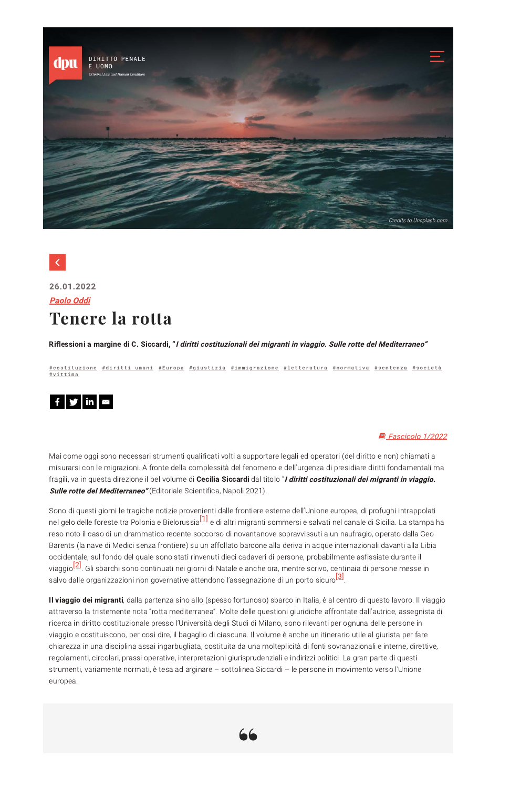

## $\langle$

## 26.01.2022 **Paolo Oddi Tenere la rotta**

Riflessioni a margine di C. Siccardi, "I diritti costituzionali dei migranti in viaggio. Sulle rotte del Mediterraneo"

<u>#costituzione #diritti umani #Europa #giustizia #immigrazione #letteratura #normativa #sentenza #società</u> #vittima



## Fascicolo 1/2022

Mai come oggi sono necessari strumenti qualificati volti a supportare legali ed operatori (del diritto e non) chiamati a misurarsi con le migrazioni. A fronte della complessità del fenomeno e dell'urgenza di presidiare diritti fondamentali ma fragili, va in questa direzione il bel volume di Cecilia Siccardi dal titolo "I diritti costituzionali dei migranti in viaggio. **Sulle rotte del Mediterraneo"** (Editoriale Scientifica, Napoli 2021).

Sono di questi giorni le tragiche notizie provenienti dalle frontiere esterne dell'Unione europea, di profughi intrappolati nel gelo delle foreste tra Polonia e Bielorussia<sup>[1]</sup> e di altri migranti sommersi e salvati nel canale di Sicilia. La stampa ha reso noto il caso di un drammatico recente soccorso di novantanove sopravvissuti a un naufragio, operato dalla Geo Barents (la nave di Medici senza frontiere) su un affollato barcone alla deriva in acque internazionali davanti alla Libia occidentale, sul fondo del quale sono stati rinvenuti dieci cadaveri di persone, probabilmente asfissiate durante il viaggio<sup>[2]</sup>. Gli sbarchi sono continuati nei giorni di Natale e anche ora, mentre scrivo, centinaia di persone messe in salvo dalle organizzazioni non governative attendono l'assegnazione di un porto sicuro<sup>[3]</sup>.

Il viaggio dei migranti, dalla partenza sino allo (spesso fortunoso) sbarco in Italia, è al centro di questo lavoro. Il viaggio attraverso la tristemente nota "rotta mediterranea". Molte delle questioni giuridiche affrontate dall'autrice, assegnista di ricerca in diritto costituzionale presso l'Università degli Studi di Milano, sono rilevanti per ognuna delle persone in viaggio e costituiscono, per così dire, il bagaglio di ciascuna. Il volume è anche un itinerario utile al giurista per fare chiarezza in una disciplina assai ingarbugliata, costituita da una molteplicità di fonti sovranazionali e interne, direttive, regolamenti, circolari, prassi operative, interpretazioni giurisprudenziali e indirizzi politici. La gran parte di questi strumenti, variamente normati, è tesa ad arginare - sottolinea Siccardi - le persone in movimento verso l'Unione europea.

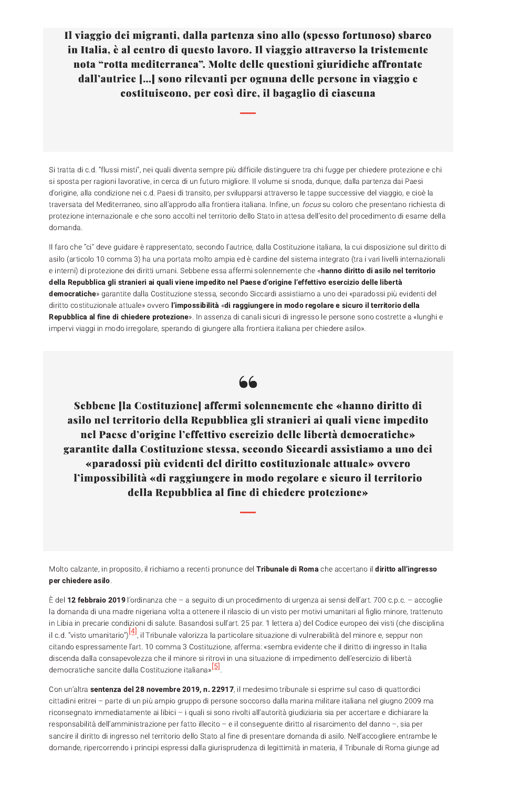Il viaggio dei migranti, dalla partenza sino allo (spesso fortunoso) sbarco in Italia, è al centro di questo lavoro. Il viaggio attraverso la tristemente nota "rotta mediterranea". Molte delle questioni giuridiche affrontate dall'autrice [...] sono rilevanti per ognuna delle persone in viaggio e costituiscono, per così dire, il bagaglio di ciascuna

Si tratta di c.d. "flussi misti", nei quali diventa sempre più difficile distinguere tra chi fugge per chiedere protezione e chi si sposta per ragioni lavorative, in cerca di un futuro migliore. Il volume si snoda, dunque, dalla partenza dai Paesi d'origine, alla condizione nei c.d. Paesi di transito, per svilupparsi attraverso le tappe successive del viaggio, e cioè la traversata del Mediterraneo, sino all'approdo alla frontiera italiana. Infine, un focus su coloro che presentano richiesta di protezione internazionale e che sono accolti nel territorio dello Stato in attesa dell'esito del procedimento di esame della domanda.

Il faro che "ci" deve guidare è rappresentato, secondo l'autrice, dalla Costituzione italiana, la cui disposizione sul diritto di asilo (articolo 10 comma 3) ha una portata molto ampia ed è cardine del sistema integrato (tra i vari livelli internazionali e interni) di protezione dei diritti umani. Sebbene essa affermi solennemente che «hanno diritto di asilo nel territorio della Repubblica gli stranieri ai quali viene impedito nel Paese d'origine l'effettivo esercizio delle libertà democratiche» garantite dalla Costituzione stessa, secondo Siccardi assistiamo a uno dei «paradossi più evidenti del diritto costituzionale attuale» ovvero l'impossibilità «di raggiungere in modo regolare e sicuro il territorio della Repubblica al fine di chiedere protezione». In assenza di canali sicuri di ingresso le persone sono costrette a «lunghi e impervi viaggi in modo irregolare, sperando di giungere alla frontiera italiana per chiedere asilo».

66

Sebbene [la Costituzione] affermi solennemente che «hanno diritto di asilo nel territorio della Repubblica gli stranieri ai quali viene impedito nel Paese d'origine l'effettivo esercizio delle libertà democratiche» garantite dalla Costituzione stessa, secondo Siccardi assistiamo a uno dei «paradossi più evidenti del diritto costituzionale attuale» ovvero l'impossibilità «di raggiungere in modo regolare e sicuro il territorio della Repubblica al fine di chiedere protezione»

Molto calzante, in proposito, il richiamo a recenti pronunce del Tribunale di Roma che accertano il diritto all'ingresso

## per chiedere asilo.

È del **12 febbraio 2019** l'ordinanza che – a seguito di un procedimento di urgenza ai sensi dell'art. 700 c.p.c. – accoglie la domanda di una madre nigeriana volta a ottenere il rilascio di un visto per motivi umanitari al figlio minore, trattenuto in Libia in precarie condizioni di salute. Basandosi sull'art. 25 par. 1 lettera a) del Codice europeo dei visti (che disciplina il c.d. "visto umanitario")<sup>[4]</sup>, il Tribunale valorizza la particolare situazione di vulnerabilità del minore e, seppur non citando espressamente l'art. 10 comma 3 Costituzione, afferma: «sembra evidente che il diritto di ingresso in Italia discenda dalla consapevolezza che il minore si ritrovi in una situazione di impedimento dell'esercizio di libertà democratiche sancite dalla Costituzione italiana»<sup>[5]</sup>.

Con un'altra sentenza del 28 novembre 2019, n. 22917, il medesimo tribunale si esprime sul caso di quattordici cittadini eritrei - parte di un più ampio gruppo di persone soccorso dalla marina militare italiana nel giugno 2009 ma riconsegnato immediatamente ai libici - i quali si sono rivolti all'autorità giudiziaria sia per accertare e dichiarare la responsabilità dell'amministrazione per fatto illecito - e il conseguente diritto al risarcimento del danno -, sia per sancire il diritto di ingresso nel territorio dello Stato al fine di presentare domanda di asilo. Nell'accogliere entrambe le domande, ripercorrendo i principi espressi dalla giurisprudenza di legittimità in materia, il Tribunale di Roma giunge ad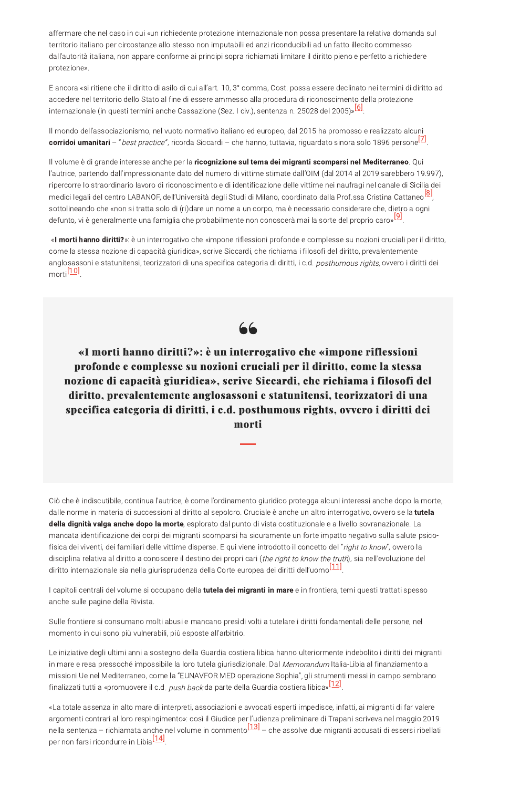affermare che nel caso in cui «un richiedente protezione internazionale non possa presentare la relativa domanda sul territorio italiano per circostanze allo stesso non imputabili ed anzi riconducibili ad un fatto illecito commesso dall'autorità italiana, non appare conforme ai principi sopra richiamati limitare il diritto pieno e perfetto a richiedere protezione».

E ancora «si ritiene che il diritto di asilo di cui all'art. 10, 3° comma, Cost. possa essere declinato nei termini di diritto ad accedere nel territorio dello Stato al fine di essere ammesso alla procedura di riconoscimento della protezione internazionale (in questi termini anche Cassazione (Sez. I civ.), sentenza n. 25028 del 2005)»<sup>[6]</sup>.

Il mondo dell'associazionismo, nel vuoto normativo italiano ed europeo, dal 2015 ha promosso e realizzato alcuni corridoi umanitari – "*best practice"*, ricorda Siccardi – che hanno, tuttavia, riguardato sinora solo 1896 persone<sup>[Z]</sup>.

Il volume è di grande interesse anche per la ricognizione sul tema dei migranti scomparsi nel Mediterraneo. Qui l'autrice, partendo dall'impressionante dato del numero di vittime stimate dall'OIM (dal 2014 al 2019 sarebbero 19.997), ripercorre lo straordinario lavoro di riconoscimento e di identificazione delle vittime nei naufragi nel canale di Sicilia dei medici legali del centro LABANOF, dell'Università degli Studi di Milano, coordinato dalla Prof.ssa Cristina Cattaneol<sup>81</sup>, sottolineando che «non si tratta solo di (ri)dare un nome a un corpo, ma è necessario considerare che, dietro a ogni defunto, vi è generalmente una famiglia che probabilmente non conoscerà mai la sorte del proprio caro»<sup>[9]</sup>.

«I morti hanno diritti?»: è un interrogativo che «impone riflessioni profonde e complesse su nozioni cruciali per il diritto, come la stessa nozione di capacità giuridica», scrive Siccardi, che richiama i filosofi del diritto, prevalentemente anglosassoni e statunitensi, teorizzatori di una specifica categoria di diritti, i c.d. posthumous rights, ovvero i diritti dei morti<sup>[10]</sup>



«I morti hanno diritti?»: è un interrogativo che «impone riflessioni profonde e complesse su nozioni cruciali per il diritto, come la stessa nozione di capacità giuridica», scrive Siccardi, che richiama i filosofi del diritto, prevalentemente anglosassoni e statunitensi, teorizzatori di una specifica categoria di diritti, i c.d. posthumous rights, ovvero i diritti dei morti

Ciò che è indiscutibile, continua l'autrice, è come l'ordinamento giuridico protegga alcuni interessi anche dopo la morte, dalle norme in materia di successioni al diritto al sepolcro. Cruciale è anche un altro interrogativo, ovvero se la tutela della dignità valga anche dopo la morte, esplorato dal punto di vista costituzionale e a livello sovranazionale. La mancata identificazione dei corpi dei migranti scomparsi ha sicuramente un forte impatto negativo sulla salute psicofisica dei viventi, dei familiari delle vittime disperse. E qui viene introdotto il concetto del "right to know", ovvero la disciplina relativa al diritto a conoscere il destino dei propri cari (the right to know the truth), sia nell'evoluzione del diritto internazionale sia nella giurisprudenza della Corte europea dei diritti dell'uomo<sup>[11]</sup>.

I capitoli centrali del volume si occupano della tutela dei migranti in mare e in frontiera, temi questi trattati spesso anche sulle pagine della Rivista.

Sulle frontiere si consumano molti abusi e mancano presidi volti a tutelare i diritti fondamentali delle persone, nel momento in cui sono più vulnerabili, più esposte all'arbitrio.

Le iniziative degli ultimi anni a sostegno della Guardia costiera libica hanno ulteriormente indebolito i diritti dei migranti in mare e resa pressoché impossibile la loro tutela giurisdizionale. Dal Memorandum Italia-Libia al finanziamento a missioni Ue nel Mediterraneo, come la "EUNAVFOR MED operazione Sophia", gli strumenti messi in campo sembrano finalizzati tutti a «promuovere il c.d. *push back* da parte della Guardia costiera libica»<sup>[12]</sup>.

«La totale assenza in alto mare di interpreti, associazioni e avvocati esperti impedisce, infatti, ai migranti di far valere argomenti contrari al loro respingimento»: così il Giudice per l'udienza preliminare di Trapani scriveva nel maggio 2019 nella sentenza – richiamata anche nel volume in commento<sup>[13]</sup> – che assolve due migranti accusati di essersi ribellati per non farsi ricondurre in Libia<sup>[14]</sup>